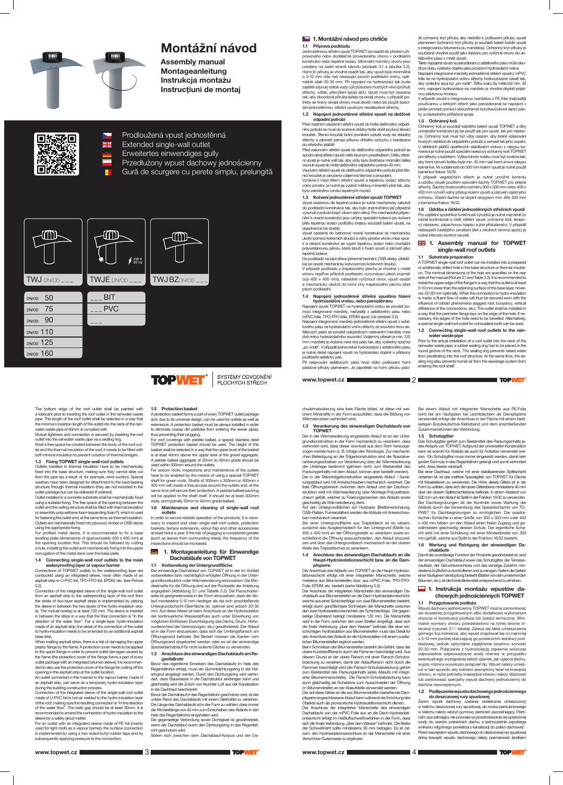

# Montážní návod

Assembly manual Montageanleitung Instrukcja montażu Instrucțiuni de montaj



Prodloužená vpust jednostěnná Extended single-wall outlet

Erweitertes einwendiges gully

## **1. Montážní návod pro chrliče** 1.1 Příprava podkladu

- Przedłużony wpust dachowy jednościenny
- Gură de scurgere cu perete simplu, prelungită

Jednostěnnou střešní vpust TOPWET lze osadit do předem připraveného nebo dodatečně provedeného otvoru v podkladní konstrukci nebo tepelné izolaci. Minimální rozměry otvoru jsou uvedeny na zadní straně návodu (obrázek 3.1 a tabulka 3.2). Horní líc příruby je vhodné osadit tak, aby vpust byla minimálně o 5-10 mm níže než navazující povrch podkladní vrstvy, optimálně však 20-30 mm. Při napojení na hydroizolaci tak bude zajištěn plynulý odtok vody i při působení možných vlivů (průhyb střechy, vztlak, převýšení spojů atd.). Vpust musí být osazena tak, aby obvodová příruba ležela na okraji otvoru, v případě potřeby se hrany okraje otvoru musí zkosit, nebo lze použít speciální jednostěnnou střešní vpust pro nezateplené střechy.

#### 1.2 Napojení jednostěnné střešní vpusti na dešťové odpadní potrubí

Před vlastním osazením střešní vpusti do hrdla dešťového odpadního potrubí se musí do kruhové drážky hrdla vložit pryžový těsnicí kroužek. Těsnicí kroužek brání pronikání vzduté vody do skladby střechy a zároveň zamezí přísunu vlhkého vzduchu z kanalizace do střešního pláště!

Před zasunutím střešní vpusti do dešťového odpadního potrubí se spodní okraj střešní vpusti natře kluzným prostředkem. Délku střešní vpusti je nutné volit tak, aby vždy byla dodržena minimální délka vsunutí vpusti do hrdla dešťového odpadního potrubí 40 mm. Vsunutím střešní vpusti do dešťového odpadního potrubí přes těs-

nicí kroužek je zaručena vzájemná těsnost a propojení. Vznikne-li mezi tělem střešní vpusti a tepelnou izolací střechy

volný prostor, je nutné jej vyplnit měkkou minerální plstí tak, aby bylo zabráněno vzniku tepelných mostů.

#### 1.3 Kotvení jednostěnné střešní vpusti TOPWET Vpust osazenou do tepelné izolace je nutné mechanicky zakotvit do podkladní konstrukce tak, aby bylo znemožněno její případné vysunutí z potrubí (např. vlivem sání větru). Pro mechanické připevnění k nosné konstrukci jsou určeny speciální kotevní pro kotvení přes tepelnou izolaci podložky (nejsou součástí balení vpusti, na objednání je lze dodat).

Vpust osazená do betonové nosné konstrukce se mechanicky ukotví pomocí kotevních šroubů a volný prostor otvoru mezi vpustí a stropní konstrukcí se vyplní tepelnou izolací nebo montážní polyuretanovou pěnou, která slouží k fixaci vpusti a zároveň jako tepelná izolace.

Do podkladů na bázi dřeva (prkenné bednění, OSB desky, překližka) se vpusti mechanicky kotví pomocí kotevních šroubů. V případě podkladu z trapézového plechu je vhodné v místě

otvoru nejdříve přikotvit podkladní vyrovnávací plech (rozměr cca 400 x 400 mm), následně vyříznout otvor, vpust osadit a mechanicky ukotvit do horní vlny trapézového plechu přes plech podkladní.

## 1.4 Napojení jednostěnné střešní vpustina hlavní hydroizolační vrstvu, nebo parozábranu

# **ER 1. Assembly manual for TOPWET** single-wall roof outlets

Napojení vpusti TOPWET na hydroizolační vrstvu se provádí pomocí integrované manžety, nejčastěji z asfaltového pásu nebo mPVC fólie, TPO-FPO fólie, EPDM apod. (viz obrázek 3.2).

Napojení integrované manžety jednostěnné střešní vpusti z asfaltového pásu na hydroizolační vrstvu střechy ze souvrství dvou asfaltových pásů se provádí celoplošným natavením manžety mezi dvě vrstvy hydroizolačního souvrství. Vzájemný přesah je min. 120 mm, manžeta je vložena mezi dva pásy tak, aby výsledný spoj byl "po vodě". V případě jednovrstvé hydroizolace z asfaltového pásu je nutné detail napojení vpusti na hydroizolaci doplnit o přídavný podkladní asfaltový pás.

Při natavování asfaltových pásů hrozí riziko poškození horní plastové příruby plamenem. Je zapotřebí na horní přírubu položit ochranný kryt příruby aby nedošlo k poškození příruby vpusti plamenem (ochranný kryt příruby je součástí balení každé vpusti s integrovanou bitumenovou manžetou). Ochranný kryt příruby je současně vhodné použít jako šablonu pro vyříznutí otvoru do asfaltového pásu v místě vpusti.

Takto napojená vpust na parozábranu z asfaltového pásu může slou-

žit po dobu výstavby objektu jako provizorní hydroizolační vrstva. Napojení integrované manžety jednostěnné střešní vpusti z mPVC fólie se na hydroizolační vrstvu střechy horkovzdušně navaří tak, aby výsledný spoj byl "po vodě". Šířka svaru by měla být min. 30 mm, napojení hydroizolace na manžetu je vhodné doplnit pojistnou zálivkovou hmotou.

For profiled metal decks, it is recommended to fix a base levelling plate (dimensions of approximately 400 x 400 mm) at the opening location first. This should be followed by cutting a hole, installing the outlet and mechanically fixing it to the upper corrugation of the metal deck over the base plate

waterproofing layer or vapour barrier ctions of TOPWET outlets to the waterproofing layer are V případě vpusti s integrovanou manžetou z PE fólie (nejčastěji používanou u lehkých střech jako parozábrana) se napojení v ploše provádí pomocí oboustranné butylkaučukové lepicí pásky a následného přitlačení spoje.

#### 1.5 Ochranný koš

Ochranný koš je součástí každého balení vpusti TOPWET a díky univerzální konstrukci jej lze použít jak pro vpusti, tak pro nástavce. Ochranný koš musí být vždy osazen, aby bránil vplavování hrubých nečistot do odpadního potrubí a zamezil tak jeho ucpání. U střešních plášťů opatřených stabilizační vrstvou z násypu kameniva je nutné použít speciální nerezový ochranný koš TOPWET pro střechy s kačírkem. Výška tohoto košíku musí být zvolena tak, aby horní úroveň košíku byla min. 40 mm nad horní úrovní násypu kameniva. Ve vzdálenosti do 500 mm kolem vpusti je nutné použít kamenivo frakce 16/32.

V případě vegetačních střech je nutné umožnit kontrolu a údržbu vpustí použitím speciální šachty TOPWET pro zelené střechy. Šachty čtvercového rozměru 300 x 300 mm nebo 400 x 400 mm vytvoří volný přístup kolem vpustí a zároveň zajistí jeho ochranu. Vlastní šachta se doplní obsypem min. šíře 300 mm z kameniva frakce 16/32.

1.6 Údržba a čištění jednostěnných střešních vpustí Pro zajištění spolehlivé funkčnosti výrobků je nutné nejméně 2x ročně kontrolovat a čistit střešní vpust, ochranný koš, terasový nástavec, zápachovou klapku a jiné příslušenství. V případě nebezpečí častějšího zanášení (listí z okolních stromů apod.) je nutné intenzitu kontrol navýšit.

## 1.1 Substrate preparation

In order to secure reliable operation of the products, it is necessary to inspect and clean single-wall roof outlets, protection baskets, terrace extensions, odour flap and other accessories at least twice a year. If the risk of plugging is considered greater (such as leaves from surrounding trees), the frequency of the inspections should be increased.

A TOPWET single-wall roof outlet can be installed into a prepared or additionally drilled hole in the base structure or thermal insulation. The minimal dimensions of the hole are specified on the rear side of the manual (Picture 3.1 and Table 3.2). It is recommended to install the upper edge of the flange in a way that the outlet is at least 5-10 mm lower than the adjoining surface of the base layer, however, 20-30 mm optimally. When the connection to hydro-insulation is made, a fluent flow of water will thus be secured even with the influence of certain phenomena (sagged roof, buoyancy, vertical difference of the connections, etc.). The outlet shall be installed in a way that the perimeter flange lays on the edge of the hole. If necessary, the edges of the hole need to be bevelled. Alternatively, a special single-wall roof outlet for uninsulated roofs can be used.

#### 1.2 Connecting single-wall roof outlets to the rainwater waste pipe

Prior to the actual installation of a roof outlet into the neck of the rainwater waste pipe, a rubber sealing ring has to be placed in the round groove of the neck. The sealing ring prevents raised water from penetrating into the roof structure. At the same time, the sealing ring also prevents humid air from the sewerage system from entering the roof shell!

**TOPWET** 

#### Verankerung des einwandigen Dachablaufs von TOPWET

The bottom edge of the roof outlet shall be painted with a lubricant prior to inserting the roof outlet in the rainwater waste pipe. The length of the roof outlet shall be selected in a way that the minimum insertion length of the outlet into the neck of the rain-

water waste pipe of 40mm is complied with. Mutual tightness and connection is secured by inserting the roof outlet into the rainwater waste pipe via a sealing ring. Shall a free space be created between the body of the roof out-

let and the thermal insulation of the roof, it needs to be filled with soft mineral insulation to prevent creation of thermal bridges. 1.3 Fixing TOPWET single-wall roof outlets

> lationsschicht erfolgt mit einer integrierten Manschette, welche meistens aus Bitumenstreifen bzw. aus mPVC-Folie, TPO-FPO-Folie, EPDM, etc. besteht (siehe Abbildung 3.2).

Outlets installed in thermal insulation have to be mechanically fixed into the base structure, making sure they cannot slide out from the pipe (as a result of, for example, wind suction). Special washers have been designed for attachment to the load-bearing structure through thermal insulation (they are not included in the outlet package but can be delivered if ordered).

Outlet installed in a concrete substrate shall be mechanically fixed using a suitable fixing. The free space of the opening between the outlet and the ceiling structure shall be filled with thermal insulation or assembly polyurethane foam (expanding foam?), which is used for fastening the outlet and, at the same time, as thermal insulation. Outlets are mechanically fixed into plywood, timber or OSB decks using the appropriate fixing.

# 1.4 Connecting single-wall roof outlets to the main

conducted using an integrated sleeve, most often made of an asphalt strip or U-PVC foil, TPO-FPO foil, EPDM, etc. (see Picture 3.2).

Connection of the integrated sleeve of the single-wall roof outlet from an asphalt strip to the waterproofing layer of the roof from the strata of two-layer asphalt strips is implemented by placing the sleeve in between the two layers of the hydro-insulation strata. The mutual overlap is at least 120 mm. The sleeve is inserted in between the strips in a way that the final connection is "in the direction of the water flow". For a single-layer hydro-insulation made of an asphalt strip, the detail of the connection of the outlet to hydro-insulation needs to be amended by an additional asphalt base strip.

When melting asphalt strips, there is a risk of damaging the upper plastic flange by the flame. A protection cover needs to be applied to the upper flange in order to prevent outlet damages caused by the flame (the protection cover of the flange forms a part of every outlet package with an integrated bitumen sleeve). It is recommended to also use the protection cover of the flange for cutting off the opening in the asphalt strip at the outlet location.

An outlet connected in this manner to the vapour barrier, made of an asphalt strip, can serve as a temporary hydro-insulation layer during the building construction process.

Connection of the integrated sleeve of the single-wall roof outlet made of U-PVC foil is hot-air welded to the hydro-insulation layer of the roof, making sure the resulting connection is "in the direction of the water flow". The weld gap should be at least 30mm. It is recommended to amend the connection of hydro-insulation to the sleeve by a safety grout matter.





For an outlet with an integrated sleeve made of PE foil (mainly used for light roofs as a vapour barrier), the surface connection is implemented by using a two-sided butyl-rubber tape and by subsequently applying pressure to the connection.

# 1.5 Protection basket

A protection basket forms a part of every TOPWET outlet package thus preventing their plugging.

and, due to its universal design, can be used for outlets as well as extensions. A protection basket must be always installed in order to eliminate coarse dirt particles from entering the sewer pipes,

For roof coverings with pebble ballast, a special stainless steel TOPWET protection basket should be used. The height of this basket shall be selected in a way that the upper level of the basket is at least 40mm above the upper level of the gravel aggregate. A pebble ballast aggregate of 20mm to 40mm grade should be used within 500mm around the outlets.

For sedum roofs, inspections and maintenance of the outlets have to be enabled by the means of using a special TOPWET shaft for green roofs. Shafts of 300mm x 300mm or 400mm x 400 mm will create a free access around the outlets and, at the same time will secure their protection. A pebble ballast packing wide, and typically 20mm to 40mm grade ballast.

# Maintenance and cleaning of single-wall roof

will be applied to the shaft itself. It should be at least 300mm

outlets

1. Montageanleitung für Einwandige

# Dachabläufe von TOPWET

# 1.1 Vorbereitung der Untergrundfläche

Der einwandige Dachablauf von TOPWET ist in der im Vorfeld

vorbereiteten bzw. nachträglich erfolgten Öffnung in der Untergrundkonstruktion oder Wärmeisolierung einzusetzen. Die Mindestmaße für die Öffnung sind auf der Rückseite der Anleitung angegeben (Abbildung 3.1 und Tabelle 3.2). Die Flanschoberite ist geeigneterweise in der Form einzusetzen, dass der Ablauf mindestens 5-10 mm niedriger als die sich anschließende Untergrundschicht-Oberfläche ist, optimal sind jedoch 20-30 mm. Auf diese Weise ist beim Anschluss an die Hydroisolation der kontinuierliche Wasserabfluss auch unter Einwirkung von möglichen Einflüssen (Durchbiegung des Dachs, Druck, Höhenunterschied der Verbindungen, etc.) gewährleistet. Der Ablauf ist in der Form einzusetzen, dass sich der Umfangsflansch am Öffnungsrand befindet. Bei Bedarf müssen die Kanten vom Öffnungsrand abgekantet werden oder es ist der einwandige Spezialdachablauf für nicht isolierte Dächer zu verwenden.

#### 1.2 Anschluss des einwandigen Dachablaufs am Regenfallrohr

Bevor das eigentliche Einsetzen des Dachablaufs im Hals des Regenfallrohrs erfolgt, muss ein Gummidichtungsring in der Halsringnut eingelegt werden. Durch den Dichtungsring wird verhindert, dass Stauwasser in die Dachstruktur eindringen kann und gleichzeitig wird die Zufuhr von feuchter Luft aus der Kanalisation in die Dachhaut beschränkt!

Bevor der Dachablauf in das Regenfallrohr geschoben wird, ist der untere Rand des Dachablaufs mit einem Gleitmittel zu versehen. Die Länge des Dachablaufs ist in der Form zu wählen, dass immer die Mindestlänge von 40 mm zum Einschieben des Ablaufs in den Hals des Regenfallrohrs eingehalten wird.

Die gegenseitige Verbindung sowie Dichtigkeit ist gewährleistet, wenn der Dachablauf durch den Dichtungsring in das Regenfallrohr geschoben wird.

Sofern sich zwischen dem Dachablauf-Korpus und der Da-

chwärmeisolierung eine freie Fläche bildet, ist diese mit weichem Mineralfilz in der Form auszufüllen, dass die Bildung von Wärmebrücken verhindert wird.

Der in der Wärmeisolierung eingesetzte Ablauf ist an der Untergrundkonstruktion in der Form mechanisch zu verankern, dass verhindert wird, dass dieser eventuell aus dem Rohr herausgezogen werden kann (z. B. infolge des Windsogs). Zur mechanischen Befestigung an der Trägerkonstruktion sind die Spezialverankerungsscheiben zur Verankerung über die Wärmeisolierung der Unterlage bestimmt (gehören nicht zum Bestandteil des Packungsinhalts mit dem Ablauf, können aber bestellt werden). Der in der Betonträgerkonstruktion eingesetzte Ablauf / Sanierungsablauf wird mit Ankerschrauben mechanisch verankert. Der freie Öffnungsbereich zwischen dem Ablauf und der Dachkonstruktion wird mit Wärmeisolierung oder Montage-Polyurethanschaum gefüllt, welcher zu Fixierungszwecken des Ablaufs sowie gleichzeitig als Wärmeisolierung dient.

Auf den Untergrundflächen auf Holzbasis (Bretterverschalung, OSB-Platten, Furnierplatten) werden die Abläufe mit Ankerschrauben mechanisch verankert.

Bei einer Untergrundfläche aus Trapezblech ist es ratsam, zunächst das Ausgleichsblech für den Untergrund (Maße ca. 400 x 400 mm) an der Öffnungsstelle zu verankern sowie anschließend die Öffnung auszuschneiden, den Ablauf einzusetzen und über das Untergrundblech mechanisch an der oberen Welle des Trapezbleches zu verankern.

# 1.4 Anschluss des einwandigen Dachablaufs an die Haupt-Hydroisolationsschicht bzw. an die Dam-

pfsperre Der Anschluss des Ablaufs von TOPWET an die Haupt-Hydroiso-

Der Anschluss der integrierten Manschette des einwandigen Dachablaufs aus Bitumenstreifen an die Dach-Hydroisolationsschicht, welche aus einer Schichtenfolge von zwei Bitumenstreifen besteht, erfolgt durch ganzflächiges Schmelzen der Manschette zwischen den zwei Hydroisolationsschichten der Schichtenfolge. Der gegenseitige Überstand beträgt mindestens 120 mm. Die Manschette wird in der Form zwischen den zwei Streifen eingefügt, dass sich die finale Verbindung "über dem Wasser" befindet. Bei einer einschichtigen Hydroisolation aus Bitumenstreifen muss das Detail für den Anschluss des Ablaufs an die Hydroisolation mit einem zusätzlichen Bitumenstreifen ergänzt werden.

Beim Schmelzen der Bitumenstreifen besteht die Gefahr, dass der obere Kunststoffflansch durch die Flammen beschädigt wird. Aus diesem Grund ist der obere Flansch mit einer Flansch-Schutzabdeckung zu versehen, damit der Ablaufflansch nicht durch die Flammen beschädigt wird (die Flansch-Schutzabdeckung gehört zum Bestandteil des Packungsinhalts jedes Ablaufs mit integrierter Bitumenmanschette). Die Flansch-Schutzabdeckung kann auch gleichzeitig als Schablone zum Ausschneiden der Öffnung im Bitumenstreifen an der Ablaufstelle verwendet werden.

Der auf diese Weise an die aus Bitumenstreifen bestehende Dampfsperre angeschlossene Ablauf kann während der Errichtung des Objekts auch als provisorische Hydroisolationsschicht dienen. Der Anschluss der integrierten Manschette des einwandigen Dachablaufs von der mPVC-Folie aus an die Dach-Hydroisolationsschicht erfolgt im Heißluftschweißverfahren in der Form, dass sich die finale Verbindung "über dem Wasser" befindet. Die Breite der Schweißnaht sollte mindestens 30 mm betragen. Es ist ratsam, den Hydroisolationsanschluss an der Manschette mit einer Verschluss-Gussmasse zu ergänzen.

Bei einem Ablauf mit integrierter Manschette aus PE-Folie (wird bei am häufigsten bei Leichtdächern als Dampfsperre verwendet) erfolgt der Anschluss in der Fläche mit einem beidseitigen Butylkautschuk-Klebeband und dem anschließenden Zusammendrücken der Verbindung.

#### 1.5 Schutzgitter

■2

Das Schutzgitter gehört zum Bestandteil des Packungsinhalts jedes Ablaufs von TOPWET. Aufgrund der universellen Konstruktion kann es sowohl für Abläufe als auch für Aufsätze verwendet werden. Ein Schutzgitter muss immer eingesetzt werden, damit kein grober Schmutz in das Regenfallrohr gelangt und somit verhindert wird, dass dieses verstopft.

Bei einer Dachhaut, welche mit einer stabilisierenden Splittschicht versehen ist, ist das rostfreie Spezialgitter von TOPWET für Dächer mit Kieselsteinen zu verwenden. Die Höhe dieses Gitters ist in der Form zu wählen, dass sich die obere Gitterebene mindestens 40 mm über der oberen Splittschichtebene befindet. In einem Abstand von 500 mm um den Ablauf ist Splitt in der Fraktion 16/32 zu verwenden. Bei Dachbegrünungen ist die Kontrolle sowie Wartung der Abläufe durch die Verwendung des Spezialschachts von TO-PWET für Dachbegrünungen zu ermöglichen. Die quadratischen Schächte in einer Größe von 300 x 300 mm oder 400 x 400 mm bilden um den Ablauf einen freien Zugang und gewährleisten gleichzeitig dessen Schutz. Der eigentliche Schacht wird mit einer Schüttung mit einer Mindestbreite von 300 mm gefüllt, welche aus Splitt in der Fraktion 16/32 besteht.

#### 1.6 Wartung und Reinigung der einwandigen Dachabläufe

Damit die zuverlässige Funktion der Produkte gewährleistet ist, sind der einwandigen Dachablauf sowie das Schutzgitter, der Terrassenaufsatz, der Geruchsverschluss und das sonstige Zubehör mindestens 2x jährlich zu kontrollieren und zu reinigen. Sofern die Gefahr

# SYSTÉMY ODVODNĚNÍ PLOCHÝCH STŘECH

einer häufigeren Verstopfung besteht (Blätter von den umstehenden Bäumen, etc.), ist die Kontrollintensität entsprechend zu erhöhen.

## 1. Instrukcja montażu wpustów da chowych jednościennych TOPWET

## 1.1 Przygotowanie podłoża

Wpust dachowy jednościenny TOPWET można zamontować we wcześniej przygotowanym albo dodatkowo wykonanym otworze w konstrukcji podłoża lub izolacji termicznej. Minimalne wymiary otworu przedstawiono na tylnej stronie instrukcji (rysunek 3.1 i tabela). Zaleca się takie umieszczenie górnego lica kołnierza, aby wpust znajdował się co najmniej o 5-10 mm poniżej otaczającej go powierzchni warstwy podkładowej, jednak optymalne zagłębienie powinno wynosić 20-30 mm. Połączenie z hydroizolacją zapewnia wówczas odpowiednie odprowadzanie wody również w przypadku ewentualnego wystąpienia takich zjawisk, jak ugięcia dachu, wypór, różnica wysokości połączeń itp. Wpust należy umieścić w taki sposób, aby kołnierz zewnętrzny leżał na krawędzi otworu, w razie potrzeby krawędzie otworu należy sfazować lub zastosować specjalny wpust dachowy jednościenny do dachów nieocieplonych.

#### 1.2 Podłączenie wpustu dachowego jednościennego do deszczowej rury spustowej

Zanim wpust dachowy zostanie ostatecznie umieszczony w kielichu deszczowej rury spustowej, do rowka pierścieniowego w kielichu należy włożyć gumowy pierścień uszczelniający. Pierścień uszczelniający nie pozwala na przedostawanie się spiętrzonej wody do warstw pośrednich dachu, a jednocześnie zapobiega wnikaniu wilgotnego powietrza z kanalizacji do połaci dachowej! Przed wsunięciem wpustu dachowego do deszczowej rury spustowej dolną krawędź wpustu dachowego należy posmarować środkiem

www.topwet.cz  $\blacksquare$  3  $\blacksquare$  3  $\blacksquare$   $\blacksquare$   $\blacksquare$   $\blacksquare$   $\blacksquare$   $\blacksquare$   $\blacksquare$   $\blacksquare$   $\blacksquare$   $\blacksquare$   $\blacksquare$   $\blacksquare$   $\blacksquare$   $\blacksquare$   $\blacksquare$   $\blacksquare$   $\blacksquare$   $\blacksquare$   $\blacksquare$   $\blacksquare$   $\blacksquare$   $\blacksquare$   $\blacksquare$   $\blacksquare$   $\blacksquare$   $\blacksquare$   $\blacksquare$ 

www.topwet.cz